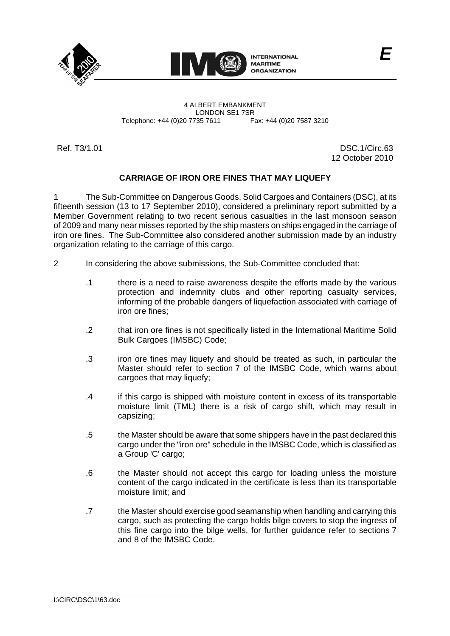



4 ALBERT EMBANKMENT Telephone: +44 (0)20 7735 7611

LONDON SE1 7SR<br>735 7611 Fax: +44 (0)20 7587 3210

Ref. T3/1.01 DSC.1/Circ.63 12 October 2010

## **CARRIAGE OF IRON ORE FINES THAT MAY LIQUEFY**

1 The Sub-Committee on Dangerous Goods, Solid Cargoes and Containers (DSC), at its fifteenth session (13 to 17 September 2010), considered a preliminary report submitted by a Member Government relating to two recent serious casualties in the last monsoon season of 2009 and many near misses reported by the ship masters on ships engaged in the carriage of iron ore fines. The Sub-Committee also considered another submission made by an industry organization relating to the carriage of this cargo.

- 2 In considering the above submissions, the Sub-Committee concluded that:
	- .1 there is a need to raise awareness despite the efforts made by the various protection and indemnity clubs and other reporting casualty services, informing of the probable dangers of liquefaction associated with carriage of iron ore fines;
	- .2 that iron ore fines is not specifically listed in the International Maritime Solid Bulk Cargoes (IMSBC) Code;
	- .3 iron ore fines may liquefy and should be treated as such, in particular the Master should refer to section 7 of the IMSBC Code, which warns about cargoes that may liquefy;
	- .4 if this cargo is shipped with moisture content in excess of its transportable moisture limit (TML) there is a risk of cargo shift, which may result in capsizing;
	- .5 the Master should be aware that some shippers have in the past declared this cargo under the "iron ore" schedule in the IMSBC Code, which is classified as a Group 'C' cargo;
	- .6 the Master should not accept this cargo for loading unless the moisture content of the cargo indicated in the certificate is less than its transportable moisture limit; and
	- .7 the Master should exercise good seamanship when handling and carrying this cargo, such as protecting the cargo holds bilge covers to stop the ingress of this fine cargo into the bilge wells, for further guidance refer to sections 7 and 8 of the IMSBC Code.